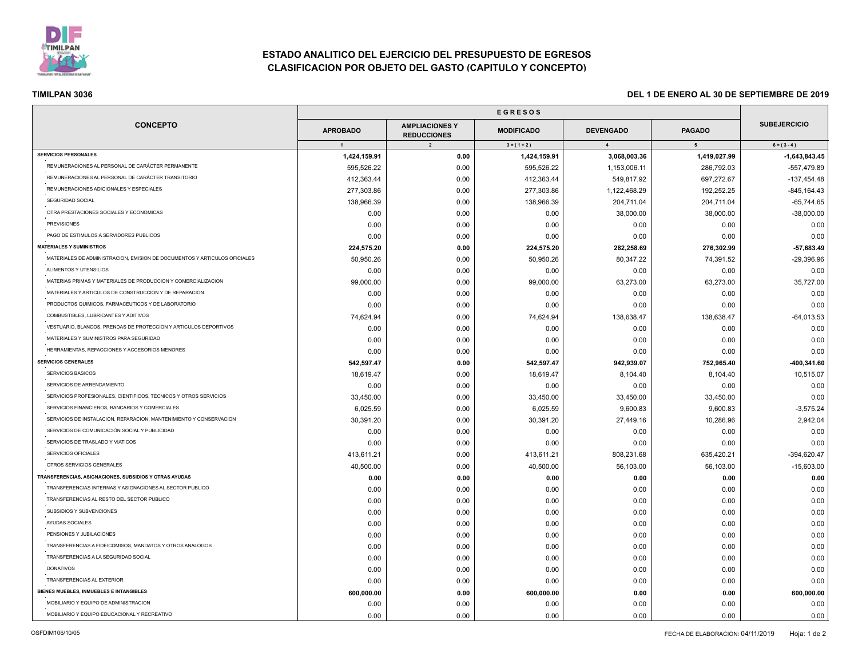

# **ESTADO ANALITICO DEL EJERCICIO DEL PRESUPUESTO DE EGRESOS CLASIFICACION POR OBJETO DEL GASTO (CAPITULO Y CONCEPTO)**

| <b>CONCEPTO</b>                                                           |                      |                                                               |                                    |                                    |                                 |                                      |
|---------------------------------------------------------------------------|----------------------|---------------------------------------------------------------|------------------------------------|------------------------------------|---------------------------------|--------------------------------------|
|                                                                           | <b>APROBADO</b><br>1 | <b>AMPLIACIONES Y</b><br><b>REDUCCIONES</b><br>$\overline{2}$ | <b>MODIFICADO</b><br>$3 = (1 + 2)$ | <b>DEVENGADO</b><br>$\overline{4}$ | <b>PAGADO</b><br>5 <sub>5</sub> | <b>SUBEJERCICIO</b><br>$6 = (3 - 4)$ |
|                                                                           |                      |                                                               |                                    |                                    |                                 |                                      |
| REMUNERACIONES AL PERSONAL DE CARÁCTER PERMANENTE                         | 595,526.22           | 0.00                                                          | 595,526.22                         | 1,153,006.11                       | 286,792.03                      | $-557,479.89$                        |
| REMUNERACIONES AL PERSONAL DE CARÁCTER TRANSITORIO                        | 412,363.44           | 0.00                                                          | 412,363.44                         | 549,817.92                         | 697,272.67                      | $-137,454.48$                        |
| REMUNERACIONES ADICIONALES Y ESPECIALES                                   | 277,303.86           | 0.00                                                          | 277,303.86                         | 1,122,468.29                       | 192,252.25                      | $-845, 164.43$                       |
| SEGURIDAD SOCIAL                                                          | 138,966.39           | 0.00                                                          | 138,966.39                         | 204,711.04                         | 204,711.04                      | $-65,744.65$                         |
| OTRA PRESTACIONES SOCIALES Y ECONOMICAS                                   | 0.00                 | 0.00                                                          | 0.00                               | 38,000.00                          | 38,000.00                       | $-38,000.00$                         |
| <b>PREVISIONES</b>                                                        | 0.00                 | 0.00                                                          | 0.00                               | 0.00                               | 0.00                            | 0.00                                 |
| PAGO DE ESTIMULOS A SERVIDORES PUBLICOS                                   | 0.00                 | 0.00                                                          | 0.00                               | 0.00                               | 0.00                            | 0.00                                 |
| <b>MATERIALES Y SUMINISTROS</b>                                           | 224,575.20           | 0.00                                                          | 224,575.20                         | 282,258.69                         | 276,302.99                      | $-57,683.49$                         |
| MATERIALES DE ADMINISTRACION, EMISION DE DOCUMENTOS Y ARTICULOS OFICIALES | 50,950.26            | 0.00                                                          | 50,950.26                          | 80,347.22                          | 74,391.52                       | $-29,396.96$                         |
| ALIMENTOS Y UTENSILIOS                                                    | 0.00                 | 0.00                                                          | 0.00                               | 0.00                               | 0.00                            | 0.00                                 |
| MATERIAS PRIMAS Y MATERIALES DE PRODUCCION Y COMERCIALIZACION             | 99,000.00            | 0.00                                                          | 99,000.00                          | 63,273.00                          | 63,273.00                       | 35,727.00                            |
| MATERIALES Y ARTICULOS DE CONSTRUCCION Y DE REPARACION                    | 0.00                 | 0.00                                                          | 0.00                               | 0.00                               | 0.00                            | 0.00                                 |
| PRODUCTOS QUIMICOS, FARMACEUTICOS Y DE LABORATORIO                        | 0.00                 | 0.00                                                          | 0.00                               | 0.00                               | 0.00                            | 0.00                                 |
| COMBUSTIBLES, LUBRICANTES Y ADITIVOS                                      | 74,624.94            | 0.00                                                          | 74,624.94                          | 138,638.47                         | 138,638.47                      | $-64,013.53$                         |
| VESTUARIO, BLANCOS, PRENDAS DE PROTECCION Y ARTICULOS DEPORTIVOS          | 0.00                 | 0.00                                                          | 0.00                               | 0.00                               | 0.00                            | 0.00                                 |
| MATERIALES Y SUMINISTROS PARA SEGURIDAD                                   | 0.00                 | 0.00                                                          | 0.00                               | 0.00                               | 0.00                            | 0.00                                 |
| HERRAMIENTAS, REFACCIONES Y ACCESORIOS MENORES                            | 0.00                 | 0.00                                                          | 0.00                               | 0.00                               | 0.00                            | 0.00                                 |
| <b>SERVICIOS GENERALES</b>                                                | 542,597.47           | 0.00                                                          | 542,597.47                         | 942,939.07                         | 752,965.40                      | -400,341.60                          |
| SERVICIOS BASICOS                                                         | 18,619.47            | 0.00                                                          | 18,619.47                          | 8,104.40                           | 8,104.40                        | 10,515.07                            |
| SERVICIOS DE ARRENDAMIENTO                                                | 0.00                 | 0.00                                                          | 0.00                               | 0.00                               | 0.00                            | 0.00                                 |
| SERVICIOS PROFESIONALES, CIENTIFICOS, TECNICOS Y OTROS SERVICIOS          | 33,450.00            | 0.00                                                          | 33,450.00                          | 33,450.00                          | 33,450.00                       | 0.00                                 |
| SERVICIOS FINANCIEROS, BANCARIOS Y COMERCIALES                            | 6,025.59             | 0.00                                                          | 6,025.59                           | 9,600.83                           | 9,600.83                        | $-3,575.24$                          |
| SERVICIOS DE INSTALACION, REPARACION, MANTENIMIENTO Y CONSERVACION        | 30,391.20            | 0.00                                                          | 30,391.20                          | 27,449.16                          | 10,286.96                       | 2,942.04                             |
| SERVICIOS DE COMUNICACIÓN SOCIAL Y PUBLICIDAD                             | 0.00                 | 0.00                                                          | 0.00                               | 0.00                               | 0.00                            | 0.00                                 |
| SERVICIOS DE TRASLADO Y VIATICOS                                          | 0.00                 | 0.00                                                          | 0.00                               | 0.00                               | 0.00                            | 0.00                                 |
| SERVICIOS OFICIALES                                                       | 413,611.21           | 0.00                                                          | 413,611.21                         | 808,231.68                         | 635,420.21                      | $-394,620.47$                        |
| OTROS SERVICIOS GENERALES                                                 | 40,500.00            | 0.00                                                          | 40,500.00                          | 56,103.00                          | 56,103.00                       | $-15,603.00$                         |
| TRANSFERENCIAS, ASIGNACIONES, SUBSIDIOS Y OTRAS AYUDAS                    | 0.00                 | 0.00                                                          | 0.00                               | 0.00                               | 0.00                            | 0.00                                 |
| TRANSFERENCIAS INTERNAS Y ASIGNACIONES AL SECTOR PUBLICO                  | 0.00                 | 0.00                                                          | 0.00                               | 0.00                               | 0.00                            | 0.00                                 |
| TRANSFERENCIAS AL RESTO DEL SECTOR PUBLICO                                | 0.00                 | 0.00                                                          | 0.00                               | 0.00                               | 0.00                            | 0.00                                 |
| SUBSIDIOS Y SUBVENCIONES                                                  | 0.00                 | 0.00                                                          | 0.00                               | 0.00                               | 0.00                            | 0.00                                 |
| AYUDAS SOCIALES                                                           | 0.00                 | 0.00                                                          | 0.00                               | 0.00                               | 0.00                            | 0.00                                 |
| PENSIONES Y JUBILACIONES                                                  | 0.00                 | 0.00                                                          | 0.00                               | 0.00                               | 0.00                            | 0.00                                 |
| TRANSFERENCIAS A FIDEICOMISOS, MANDATOS Y OTROS ANALOGOS                  | 0.00                 | 0.00                                                          | 0.00                               | 0.00                               | 0.00                            | 0.00                                 |
| TRANSFERENCIAS A LA SEGURIDAD SOCIAL                                      | 0.00                 | 0.00                                                          | 0.00                               | 0.00                               | 0.00                            | 0.00                                 |
| <b>DONATIVOS</b>                                                          | 0.00                 | 0.00                                                          | 0.00                               | 0.00                               | 0.00                            | 0.00                                 |
| TRANSFERENCIAS AL EXTERIOR                                                | 0.00                 | 0.00                                                          | 0.00                               | 0.00                               | 0.00                            | 0.00                                 |
| BIENES MUEBLES, INMUEBLES E INTANGIBLES                                   | 600,000.00           | 0.00                                                          | 600,000.00                         |                                    |                                 | 600,000.00                           |
| MOBILIARIO Y EQUIPO DE ADMINISTRACION                                     | 0.00                 | 0.00                                                          | 0.00                               | 0.00<br>0.00                       | 0.00<br>0.00                    | 0.00                                 |
| MOBILIARIO Y EQUIPO EDUCACIONAL Y RECREATIVO                              | 0.00                 | 0.00                                                          | 0.00                               | 0.00                               | 0.00                            | 0.00                                 |
|                                                                           |                      |                                                               |                                    |                                    |                                 |                                      |